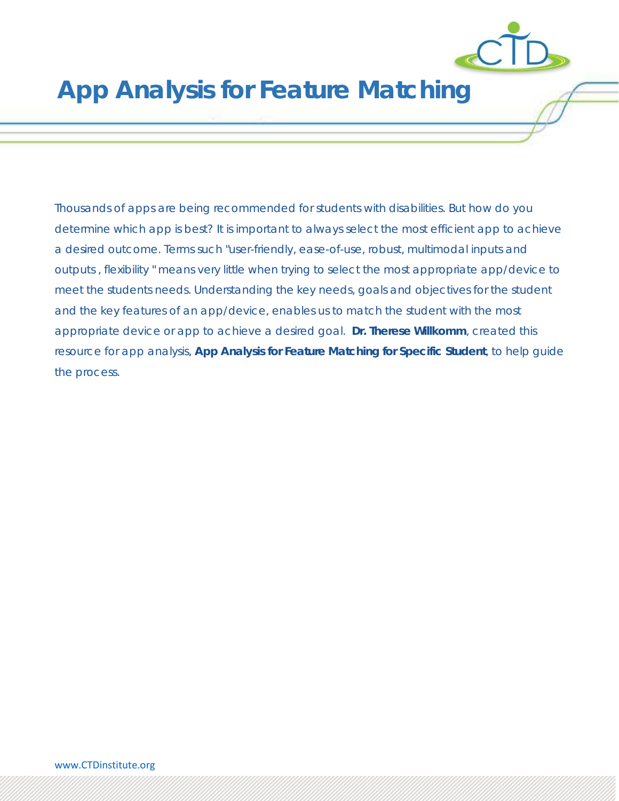

# **App Analysis for Feature Matching**

Thousands of apps are being recommended for students with disabilities. But how do you determine which app is best? It is important to always select the most efficient app to achieve a desired outcome. Terms such "user-friendly, ease-of-use, robust, multimodal inputs and outputs , flexibility " means very little when trying to select the most appropriate app/device to meet the students needs. Understanding the key needs, goals and objectives for the student and the key features of an app/device, enables us to match the student with the most appropriate device or app to achieve a desired goal. **Dr. Therese Willkomm**, created this resource for app analysis, **App Analysis for Feature Matching for Specific Student**, to help guide the process.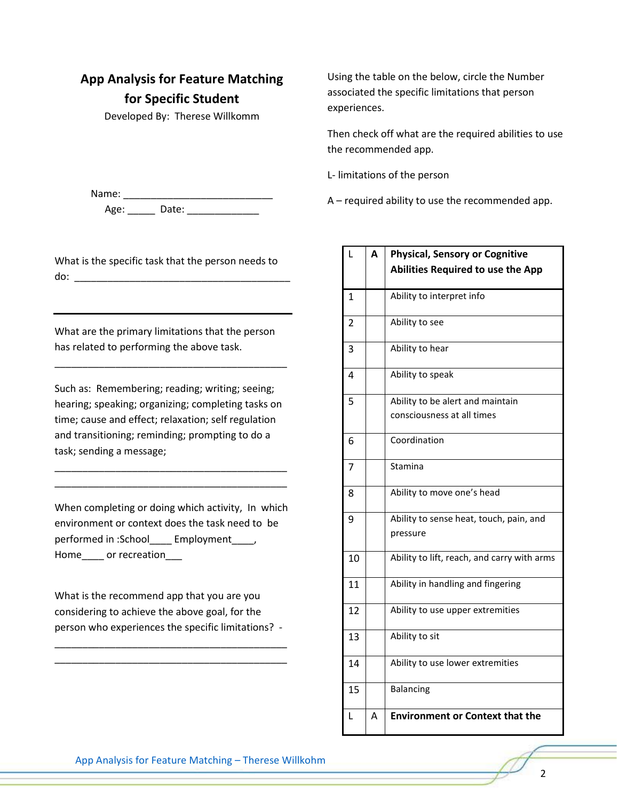# **App Analysis for Feature Matching for Specific Student**

Developed By: Therese Willkomm

Name: \_\_\_\_\_\_\_\_\_\_\_\_\_\_\_\_\_\_\_\_\_\_\_\_\_\_\_ Age: Date: Date:

What is the specific task that the person needs to do: \_\_\_\_\_\_\_\_\_\_\_\_\_\_\_\_\_\_\_\_\_\_\_\_\_\_\_\_\_\_\_\_\_\_\_\_\_\_\_

What are the primary limitations that the person has related to performing the above task.

\_\_\_\_\_\_\_\_\_\_\_\_\_\_\_\_\_\_\_\_\_\_\_\_\_\_\_\_\_\_\_\_\_\_\_\_\_\_\_\_\_\_

Such as: Remembering; reading; writing; seeing; hearing; speaking; organizing; completing tasks on time; cause and effect; relaxation; self regulation and transitioning; reminding; prompting to do a task; sending a message;

\_\_\_\_\_\_\_\_\_\_\_\_\_\_\_\_\_\_\_\_\_\_\_\_\_\_\_\_\_\_\_\_\_\_\_\_\_\_\_\_\_\_ \_\_\_\_\_\_\_\_\_\_\_\_\_\_\_\_\_\_\_\_\_\_\_\_\_\_\_\_\_\_\_\_\_\_\_\_\_\_\_\_\_\_

When completing or doing which activity, In which environment or context does the task need to be performed in :School\_\_\_\_ Employment\_\_\_\_, Home or recreation

What is the recommend app that you are you considering to achieve the above goal, for the person who experiences the specific limitations? -

\_\_\_\_\_\_\_\_\_\_\_\_\_\_\_\_\_\_\_\_\_\_\_\_\_\_\_\_\_\_\_\_\_\_\_\_\_\_\_\_\_\_ \_\_\_\_\_\_\_\_\_\_\_\_\_\_\_\_\_\_\_\_\_\_\_\_\_\_\_\_\_\_\_\_\_\_\_\_\_\_\_\_\_\_

Using the table on the below, circle the Number associated the specific limitations that person experiences.

Then check off what are the required abilities to use the recommended app.

L- limitations of the person

A – required ability to use the recommended app.

| L              | A | <b>Physical, Sensory or Cognitive</b><br><b>Abilities Required to use the App</b> |
|----------------|---|-----------------------------------------------------------------------------------|
| $\mathbf{1}$   |   | Ability to interpret info                                                         |
| $\overline{2}$ |   | Ability to see                                                                    |
| 3              |   | Ability to hear                                                                   |
| 4              |   | Ability to speak                                                                  |
| 5              |   | Ability to be alert and maintain                                                  |
|                |   | consciousness at all times                                                        |
| 6              |   | Coordination                                                                      |
| 7              |   | Stamina                                                                           |
| 8              |   | Ability to move one's head                                                        |
| 9              |   | Ability to sense heat, touch, pain, and<br>pressure                               |
| 10             |   | Ability to lift, reach, and carry with arms                                       |
| 11             |   | Ability in handling and fingering                                                 |
| 12             |   | Ability to use upper extremities                                                  |
| 13             |   | Ability to sit                                                                    |
| 14             |   | Ability to use lower extremities                                                  |
| 15             |   | <b>Balancing</b>                                                                  |
| L              | Α | <b>Environment or Context that the</b>                                            |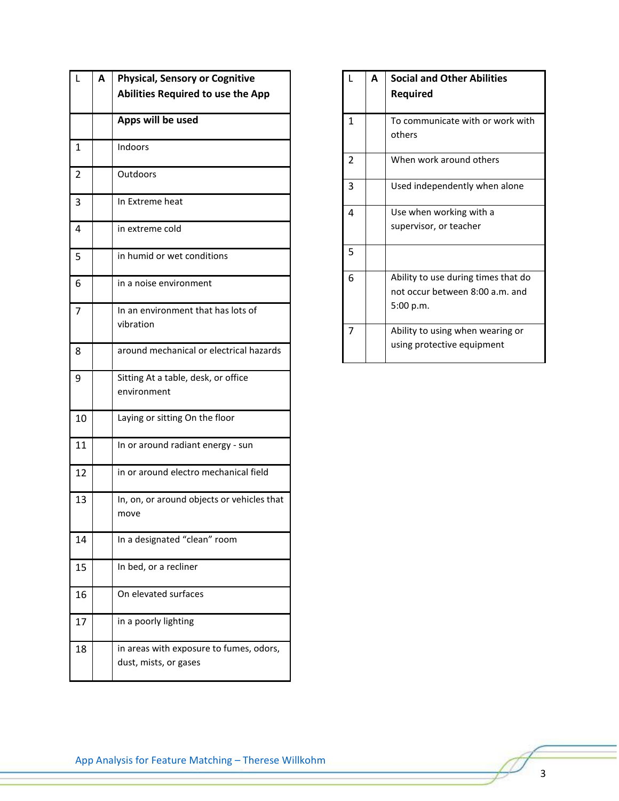| $\mathbf{L}$   | Α | <b>Physical, Sensory or Cognitive</b>                            |
|----------------|---|------------------------------------------------------------------|
|                |   | <b>Abilities Required to use the App</b>                         |
|                |   | Apps will be used                                                |
| $\mathbf{1}$   |   | Indoors                                                          |
| $\overline{2}$ |   | Outdoors                                                         |
| 3              |   | In Extreme heat                                                  |
| 4              |   | in extreme cold                                                  |
| 5              |   | in humid or wet conditions                                       |
| 6              |   | in a noise environment                                           |
| $\overline{7}$ |   | In an environment that has lots of<br>vibration                  |
| 8              |   | around mechanical or electrical hazards                          |
| 9              |   | Sitting At a table, desk, or office<br>environment               |
| 10             |   | Laying or sitting On the floor                                   |
| 11             |   | In or around radiant energy - sun                                |
| 12             |   | in or around electro mechanical field                            |
| 13             |   | In, on, or around objects or vehicles that<br>move               |
| 14             |   | In a designated "clean" room                                     |
| 15             |   | In bed, or a recliner                                            |
| 16             |   | On elevated surfaces                                             |
| 17             |   | in a poorly lighting                                             |
| 18             |   | in areas with exposure to fumes, odors,<br>dust, mists, or gases |

| L | A | <b>Social and Other Abilities</b><br><b>Required</b> |
|---|---|------------------------------------------------------|
|   |   |                                                      |
| 1 |   | To communicate with or work with                     |
|   |   | others                                               |
| 2 |   | When work around others                              |
| 3 |   | Used independently when alone                        |
| 4 |   | Use when working with a                              |
|   |   | supervisor, or teacher                               |
| 5 |   |                                                      |
| 6 |   | Ability to use during times that do                  |
|   |   | not occur between 8:00 a.m. and                      |
|   |   | 5:00 p.m.                                            |
| 7 |   | Ability to using when wearing or                     |
|   |   | using protective equipment                           |